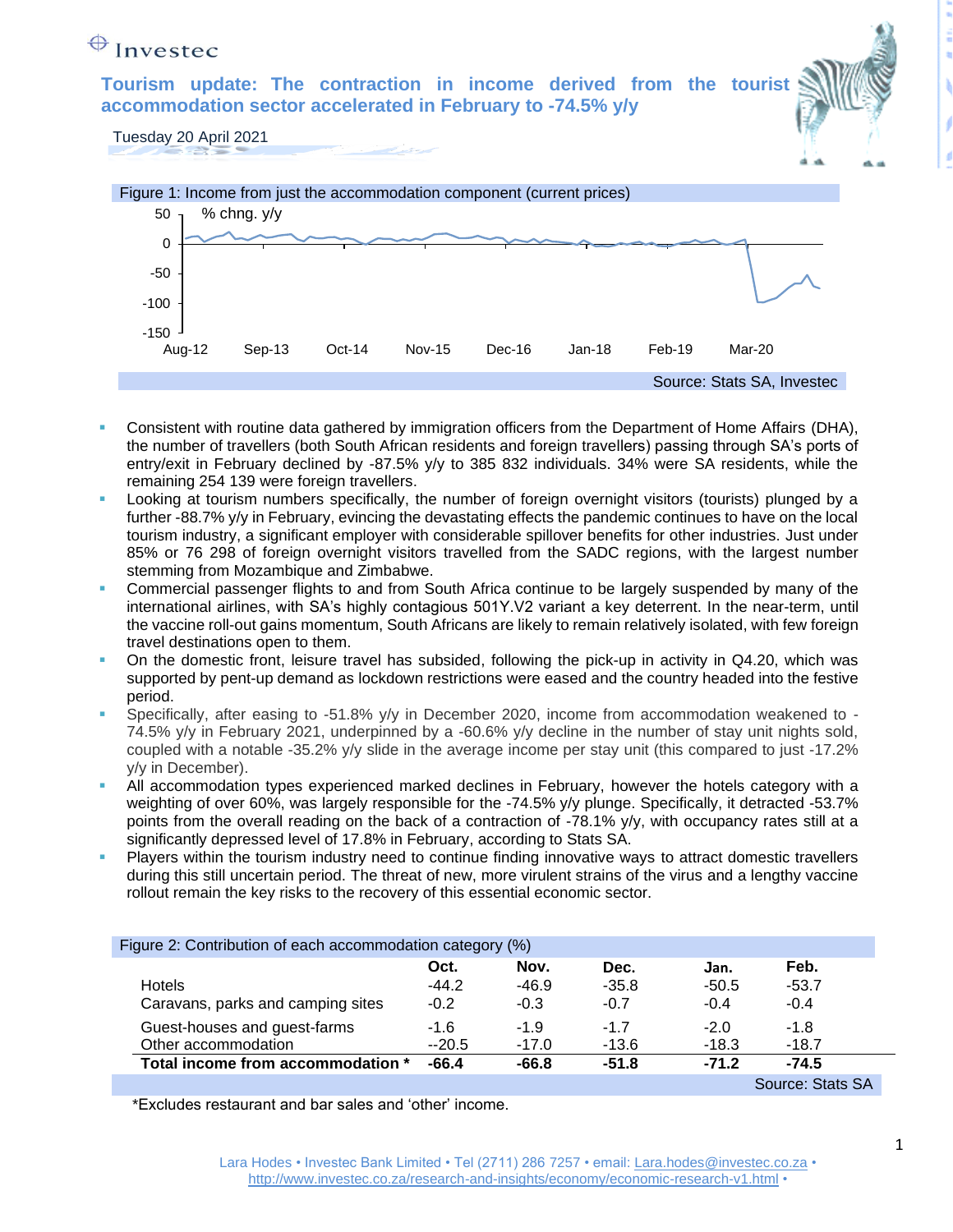## $\bigoplus$  Investec

**Tourism update: The contraction in income derived from the tourist accommodation sector accelerated in February to -74.5% y/y**

Tuesday 20 April 2021



- Consistent with routine data gathered by immigration officers from the Department of Home Affairs (DHA), the number of travellers (both South African residents and foreign travellers) passing through SA's ports of entry/exit in February declined by -87.5% y/y to 385 832 individuals. 34% were SA residents, while the remaining 254 139 were foreign travellers.
- Looking at tourism numbers specifically, the number of foreign overnight visitors (tourists) plunged by a further -88.7% y/y in February, evincing the devastating effects the pandemic continues to have on the local tourism industry, a significant employer with considerable spillover benefits for other industries. Just under 85% or 76 298 of foreign overnight visitors travelled from the SADC regions, with the largest number stemming from Mozambique and Zimbabwe.
- Commercial passenger flights to and from South Africa continue to be largely suspended by many of the international airlines, with SA's highly contagious 501Y.V2 variant a key deterrent. In the near-term, until the vaccine roll-out gains momentum, South Africans are likely to remain relatively isolated, with few foreign travel destinations open to them.
- On the domestic front, leisure travel has subsided, following the pick-up in activity in Q4.20, which was supported by pent-up demand as lockdown restrictions were eased and the country headed into the festive period.
- Specifically, after easing to -51.8% y/y in December 2020, income from accommodation weakened to -74.5% y/y in February 2021, underpinned by a -60.6% y/y decline in the number of stay unit nights sold, coupled with a notable -35.2% y/y slide in the average income per stay unit (this compared to just -17.2% y/y in December).
- All accommodation types experienced marked declines in February, however the hotels category with a weighting of over 60%, was largely responsible for the -74.5% y/y plunge. Specifically, it detracted -53.7% points from the overall reading on the back of a contraction of -78.1% y/y, with occupancy rates still at a significantly depressed level of 17.8% in February, according to Stats SA.
- Players within the tourism industry need to continue finding innovative ways to attract domestic travellers during this still uncertain period. The threat of new, more virulent strains of the virus and a lengthy vaccine rollout remain the key risks to the recovery of this essential economic sector.

| Figure 2: Contribution of each accommodation category (%) |         |         |         |         |                  |  |
|-----------------------------------------------------------|---------|---------|---------|---------|------------------|--|
|                                                           | Oct.    | Nov.    | Dec.    | Jan.    | Feb.             |  |
| <b>Hotels</b>                                             | $-44.2$ | $-46.9$ | $-35.8$ | $-50.5$ | $-53.7$          |  |
| Caravans, parks and camping sites                         | $-0.2$  | $-0.3$  | $-0.7$  | $-0.4$  | $-0.4$           |  |
| Guest-houses and guest-farms                              | $-1.6$  | $-1.9$  | $-17$   | $-2.0$  | $-1.8$           |  |
| Other accommodation                                       | $-20.5$ | $-17.0$ | $-13.6$ | $-18.3$ | $-18.7$          |  |
| Total income from accommodation *                         | $-66.4$ | $-66.8$ | $-51.8$ | $-71.2$ | $-74.5$          |  |
|                                                           |         |         |         |         | Source: Stats SA |  |

\*Excludes restaurant and bar sales and 'other' income.

1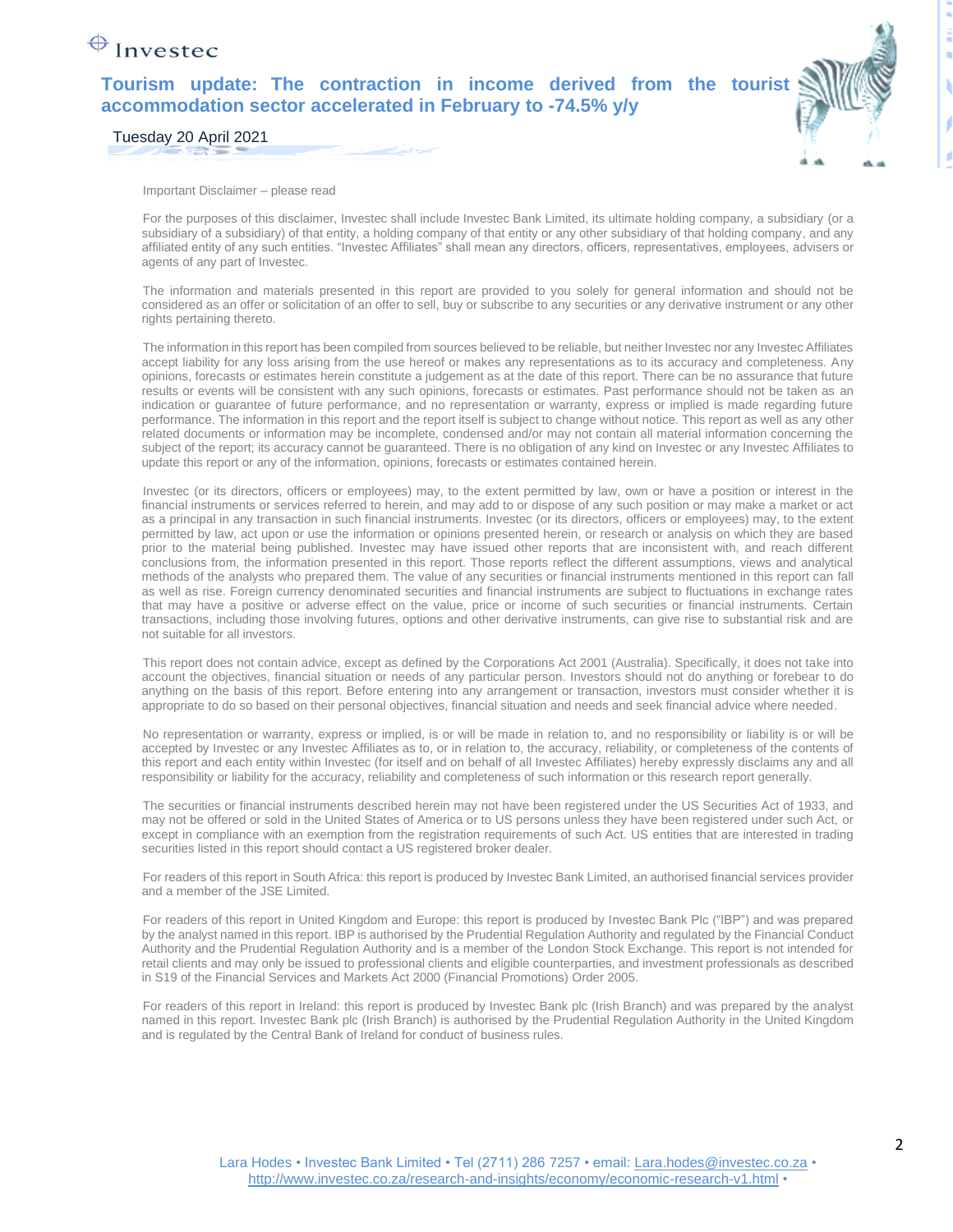## $\bigoplus$  Investec

**Tourism update: The contraction in income derived from the tourist accommodation sector accelerated in February to -74.5% y/y**



Tuesday 20 April 2021

Important Disclaimer – please read

For the purposes of this disclaimer, Investec shall include Investec Bank Limited, its ultimate holding company, a subsidiary (or a subsidiary of a subsidiary) of that entity, a holding company of that entity or any other subsidiary of that holding company, and any affiliated entity of any such entities. "Investec Affiliates" shall mean any directors, officers, representatives, employees, advisers or agents of any part of Investec.

The information and materials presented in this report are provided to you solely for general information and should not be considered as an offer or solicitation of an offer to sell, buy or subscribe to any securities or any derivative instrument or any other rights pertaining thereto.

The information in this report has been compiled from sources believed to be reliable, but neither Investec nor any Investec Affiliates accept liability for any loss arising from the use hereof or makes any representations as to its accuracy and completeness. Any opinions, forecasts or estimates herein constitute a judgement as at the date of this report. There can be no assurance that future results or events will be consistent with any such opinions, forecasts or estimates. Past performance should not be taken as an indication or guarantee of future performance, and no representation or warranty, express or implied is made regarding future performance. The information in this report and the report itself is subject to change without notice. This report as well as any other related documents or information may be incomplete, condensed and/or may not contain all material information concerning the subject of the report; its accuracy cannot be guaranteed. There is no obligation of any kind on Investec or any Investec Affiliates to update this report or any of the information, opinions, forecasts or estimates contained herein.

Investec (or its directors, officers or employees) may, to the extent permitted by law, own or have a position or interest in the financial instruments or services referred to herein, and may add to or dispose of any such position or may make a market or act as a principal in any transaction in such financial instruments. Investec (or its directors, officers or employees) may, to the extent permitted by law, act upon or use the information or opinions presented herein, or research or analysis on which they are based prior to the material being published. Investec may have issued other reports that are inconsistent with, and reach different conclusions from, the information presented in this report. Those reports reflect the different assumptions, views and analytical methods of the analysts who prepared them. The value of any securities or financial instruments mentioned in this report can fall as well as rise. Foreign currency denominated securities and financial instruments are subject to fluctuations in exchange rates that may have a positive or adverse effect on the value, price or income of such securities or financial instruments. Certain transactions, including those involving futures, options and other derivative instruments, can give rise to substantial risk and are not suitable for all investors.

This report does not contain advice, except as defined by the Corporations Act 2001 (Australia). Specifically, it does not take into account the objectives, financial situation or needs of any particular person. Investors should not do anything or forebear to do anything on the basis of this report. Before entering into any arrangement or transaction, investors must consider whether it is appropriate to do so based on their personal objectives, financial situation and needs and seek financial advice where needed.

No representation or warranty, express or implied, is or will be made in relation to, and no responsibility or liability is or will be accepted by Investec or any Investec Affiliates as to, or in relation to, the accuracy, reliability, or completeness of the contents of this report and each entity within Investec (for itself and on behalf of all Investec Affiliates) hereby expressly disclaims any and all responsibility or liability for the accuracy, reliability and completeness of such information or this research report generally.

The securities or financial instruments described herein may not have been registered under the US Securities Act of 1933, and may not be offered or sold in the United States of America or to US persons unless they have been registered under such Act, or except in compliance with an exemption from the registration requirements of such Act. US entities that are interested in trading securities listed in this report should contact a US registered broker dealer.

For readers of this report in South Africa: this report is produced by Investec Bank Limited, an authorised financial services provider and a member of the JSE Limited.

For readers of this report in United Kingdom and Europe: this report is produced by Investec Bank Plc ("IBP") and was prepared by the analyst named in this report. IBP is authorised by the Prudential Regulation Authority and regulated by the Financial Conduct Authority and the Prudential Regulation Authority and is a member of the London Stock Exchange. This report is not intended for retail clients and may only be issued to professional clients and eligible counterparties, and investment professionals as described in S19 of the Financial Services and Markets Act 2000 (Financial Promotions) Order 2005.

For readers of this report in Ireland: this report is produced by Investec Bank plc (Irish Branch) and was prepared by the analyst named in this report. Investec Bank plc (Irish Branch) is authorised by the Prudential Regulation Authority in the United Kingdom and is regulated by the Central Bank of Ireland for conduct of business rules.